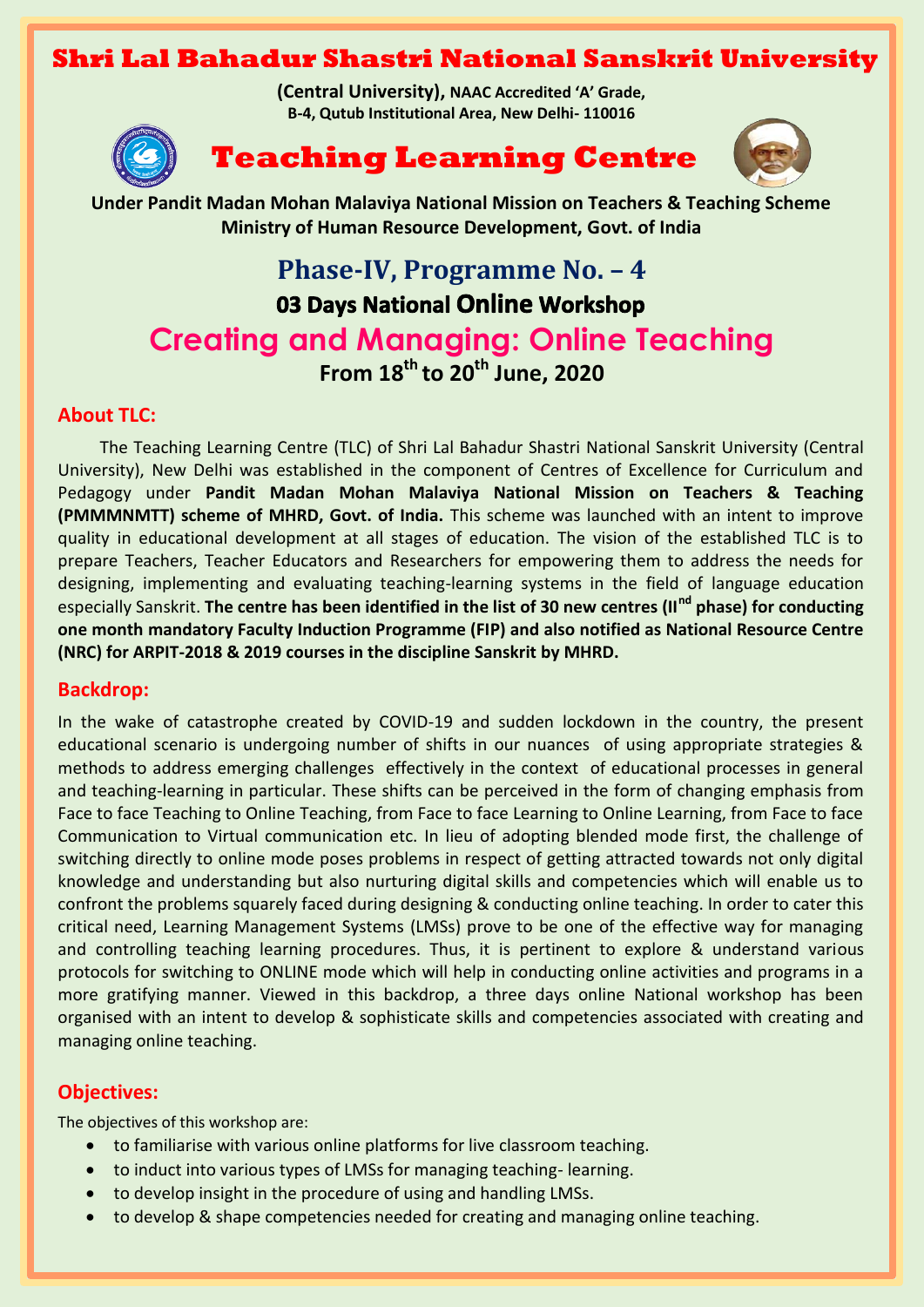# **Shri Lal Bahadur Shastri National Sanskrit University**

**(Central University), NAAC Accredited 'A' Grade, B-4, Qutub Institutional Area, New Delhi- 110016**







**Under Pandit Madan Mohan Malaviya National Mission on Teachers & Teaching Scheme Ministry of Human Resource Development, Govt. of India**

# **Phase-IV, Programme No. – 4** 03 Days National Online Workshop **Creating and Managing: Online Teaching From 18th to 20th June, 2020**

## **About TLC:**

The Teaching Learning Centre (TLC) of Shri Lal Bahadur Shastri National Sanskrit University (Central University), New Delhi was established in the component of Centres of Excellence for Curriculum and Pedagogy under **Pandit Madan Mohan Malaviya National Mission on Teachers & Teaching (PMMMNMTT) scheme of MHRD, Govt. of India.** This scheme was launched with an intent to improve quality in educational development at all stages of education. The vision of the established TLC is to prepare Teachers, Teacher Educators and Researchers for empowering them to address the needs for designing, implementing and evaluating teaching-learning systems in the field of language education especially Sanskrit. **The centre has been identified in the list of 30 new centres (IInd phase) for conducting one month mandatory Faculty Induction Programme (FIP) and also notified as National Resource Centre (NRC) for ARPIT-2018 & 2019 courses in the discipline Sanskrit by MHRD.**

### **Backdrop:**

In the wake of catastrophe created by COVID-19 and sudden lockdown in the country, the present educational scenario is undergoing number of shifts in our nuances of using appropriate strategies & methods to address emerging challenges effectively in the context of educational processes in general and teaching-learning in particular. These shifts can be perceived in the form of changing emphasis from Face to face Teaching to Online Teaching, from Face to face Learning to Online Learning, from Face to face Communication to Virtual communication etc. In lieu of adopting blended mode first, the challenge of switching directly to online mode poses problems in respect of getting attracted towards not only digital knowledge and understanding but also nurturing digital skills and competencies which will enable us to confront the problems squarely faced during designing & conducting online teaching. In order to cater this critical need, Learning Management Systems (LMSs) prove to be one of the effective way for managing and controlling teaching learning procedures. Thus, it is pertinent to explore & understand various protocols for switching to ONLINE mode which will help in conducting online activities and programs in a more gratifying manner. Viewed in this backdrop, a three days online National workshop has been organised with an intent to develop & sophisticate skills and competencies associated with creating and managing online teaching.

### **Objectives:**

The objectives of this workshop are:

- to familiarise with various online platforms for live classroom teaching.
- to induct into various types of LMSs for managing teaching- learning.
- to develop insight in the procedure of using and handling LMSs.
- to develop & shape competencies needed for creating and managing online teaching.